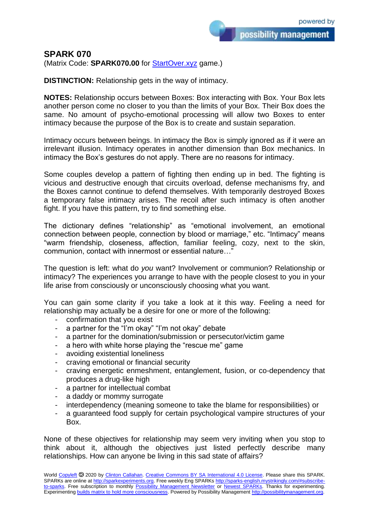## **SPARK 070**

(Matrix Code: **SPARK070.00** for **StartOver.xyz** game.)

**DISTINCTION:** Relationship gets in the way of intimacy.

**NOTES:** Relationship occurs between Boxes: Box interacting with Box. Your Box lets another person come no closer to you than the limits of your Box. Their Box does the same. No amount of psycho-emotional processing will allow two Boxes to enter intimacy because the purpose of the Box is to create and sustain separation.

Intimacy occurs between beings. In intimacy the Box is simply ignored as if it were an irrelevant illusion. Intimacy operates in another dimension than Box mechanics. In intimacy the Box's gestures do not apply. There are no reasons for intimacy.

Some couples develop a pattern of fighting then ending up in bed. The fighting is vicious and destructive enough that circuits overload, defense mechanisms fry, and the Boxes cannot continue to defend themselves. With temporarily destroyed Boxes a temporary false intimacy arises. The recoil after such intimacy is often another fight. If you have this pattern, try to find something else.

The dictionary defines "relationship" as "emotional involvement, an emotional connection between people, connection by blood or marriage," etc. "Intimacy" means "warm friendship, closeness, affection, familiar feeling, cozy, next to the skin, communion, contact with innermost or essential nature…"

The question is left: what do *you* want? Involvement or communion? Relationship or intimacy? The experiences you arrange to have with the people closest to you in your life arise from consciously or unconsciously choosing what you want.

You can gain some clarity if you take a look at it this way. Feeling a need for relationship may actually be a desire for one or more of the following:

- confirmation that you exist
- a partner for the "I'm okay" "I'm not okay" debate
- a partner for the domination/submission or persecutor/victim game
- a hero with white horse playing the "rescue me" game
- avoiding existential loneliness
- craving emotional or financial security
- craving energetic enmeshment, entanglement, fusion, or co-dependency that produces a drug-like high
- a partner for intellectual combat
- a daddy or mommy surrogate
- interdependency (meaning someone to take the blame for responsibilities) or
- a guaranteed food supply for certain psychological vampire structures of your Box.

None of these objectives for relationship may seem very inviting when you stop to think about it, although the objectives just listed perfectly describe many relationships. How can anyone be living in this sad state of affairs?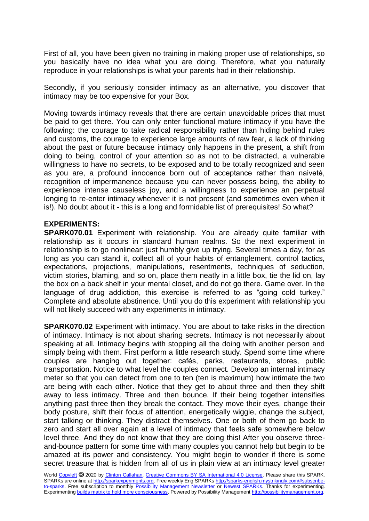First of all, you have been given no training in making proper use of relationships, so you basically have no idea what you are doing. Therefore, what you naturally reproduce in your relationships is what your parents had in their relationship.

Secondly, if you seriously consider intimacy as an alternative, you discover that intimacy may be too expensive for your Box.

Moving towards intimacy reveals that there are certain unavoidable prices that must be paid to get there. You can only enter functional mature intimacy if you have the following: the courage to take radical responsibility rather than hiding behind rules and customs, the courage to experience large amounts of raw fear, a lack of thinking about the past or future because intimacy only happens in the present, a shift from doing to being, control of your attention so as not to be distracted, a vulnerable willingness to have no secrets, to be exposed and to be totally recognized and seen as you are, a profound innocence born out of acceptance rather than naiveté, recognition of impermanence because you can never possess being, the ability to experience intense causeless joy, and a willingness to experience an perpetual longing to re-enter intimacy whenever it is not present (and sometimes even when it is!). No doubt about it - this is a long and formidable list of prerequisites! So what?

## **EXPERIMENTS:**

**SPARK070.01** Experiment with relationship. You are already quite familiar with relationship as it occurs in standard human realms. So the next experiment in relationship is to go nonlinear: just humbly give up trying. Several times a day, for as long as you can stand it, collect all of your habits of entanglement, control tactics, expectations, projections, manipulations, resentments, techniques of seduction, victim stories, blaming, and so on, place them neatly in a little box, tie the lid on, lay the box on a back shelf in your mental closet, and do not go there. Game over. In the language of drug addiction, this exercise is referred to as "going cold turkey." Complete and absolute abstinence. Until you do this experiment with relationship you will not likely succeed with any experiments in intimacy.

**SPARK070.02** Experiment with intimacy. You are about to take risks in the direction of intimacy. Intimacy is not about sharing secrets. Intimacy is not necessarily about speaking at all. Intimacy begins with stopping all the doing with another person and simply being with them. First perform a little research study. Spend some time where couples are hanging out together: cafés, parks, restaurants, stores, public transportation. Notice to what level the couples connect. Develop an internal intimacy meter so that you can detect from one to ten (ten is maximum) how intimate the two are being with each other. Notice that they get to about three and then they shift away to less intimacy. Three and then bounce. If their being together intensifies anything past three then they break the contact. They move their eyes, change their body posture, shift their focus of attention, energetically wiggle, change the subject, start talking or thinking. They distract themselves. One or both of them go back to zero and start all over again at a level of intimacy that feels safe somewhere below level three. And they do not know that they are doing this! After you observe threeand-bounce pattern for some time with many couples you cannot help but begin to be amazed at its power and consistency. You might begin to wonder if there is some secret treasure that is hidden from all of us in plain view at an intimacy level greater